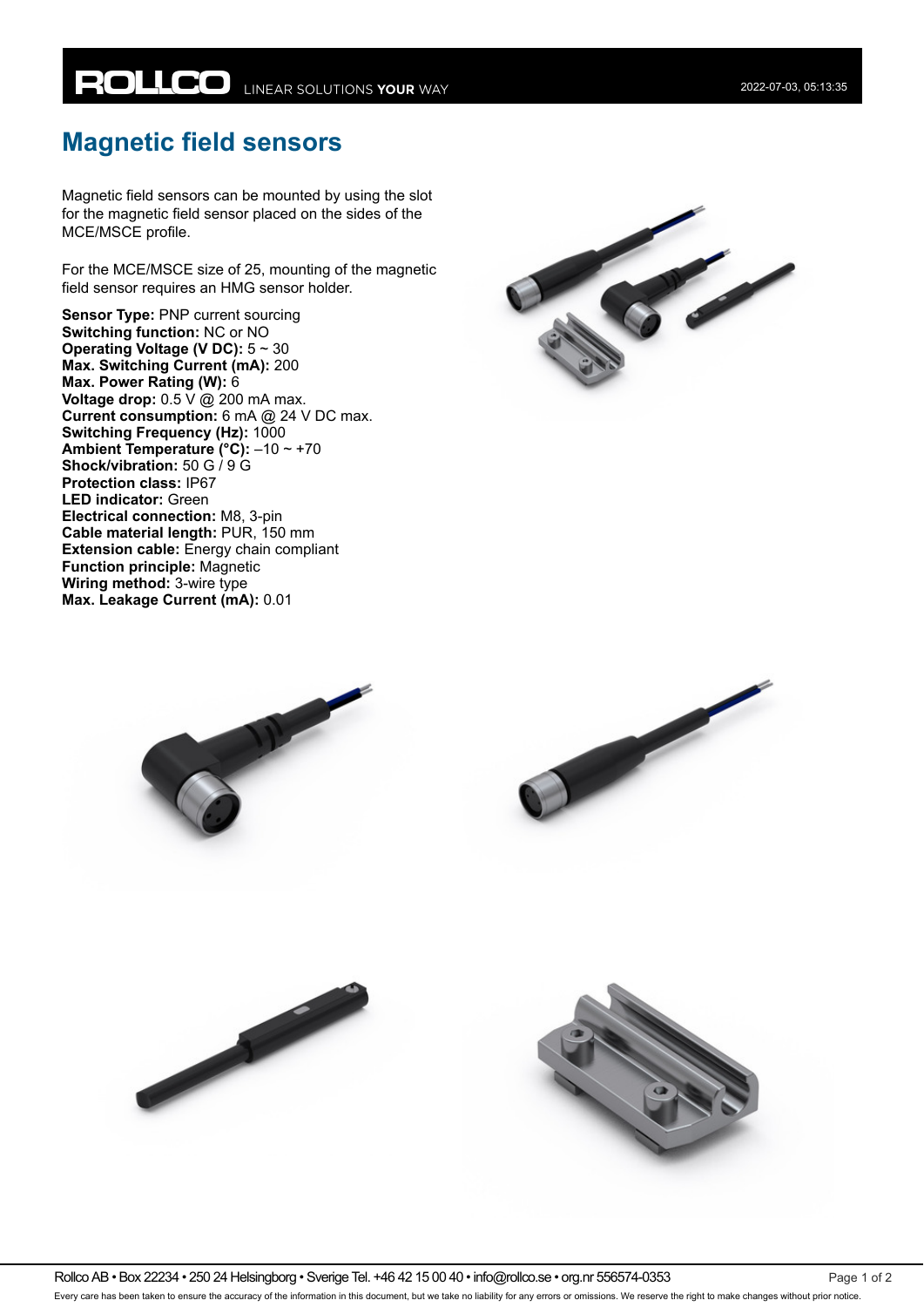## **Magnetic field sensors**

Magnetic field sensors can be mounted by using the slot for the magnetic field sensor placed on the sides of the MCE/MSCE profile.

For the MCE/MSCE size of 25, mounting of the magnetic field sensor requires an HMG sensor holder.

**Sensor Type:** PNP current sourcing **Switching function:** NC or NO **Operating Voltage (V DC):** 5 ~ 30 **Max. Switching Current (mA):** 200 **Max. Power Rating (W):** 6 **Voltage drop:** 0.5  $\overline{V}$  @ 200 mA max. **Current consumption:** 6 mA @ 24 V DC max. **Switching Frequency (Hz): 1000 Ambient Temperature (°C):** –10 ~ +70 **Shock/vibration:** 50 G / 9 G **Protection class:** IP67 **LED indicator:** Green **Electrical connection:** M8, 3-pin **Cable material length:** PUR, 150 mm **Extension cable:** Energy chain compliant **Function principle:** Magnetic **Wiring method:** 3-wire type **Max. Leakage Current (mA):** 0.01